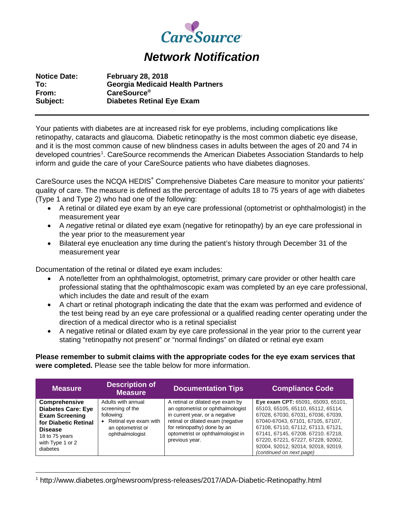

## *Network Notification*

| <b>Notice Date:</b> | <b>February 28, 2018</b>                |
|---------------------|-----------------------------------------|
| To:                 | <b>Georgia Medicaid Health Partners</b> |
| From:               | <b>CareSource</b> ®                     |
| Subject:            | <b>Diabetes Retinal Eye Exam</b>        |

Your patients with diabetes are at increased risk for eye problems, including complications like retinopathy, cataracts and glaucoma. Diabetic retinopathy is the most common diabetic eye disease, and it is the most common cause of new blindness cases in adults between the ages of 20 and 74 in developed countries<sup>[1](#page-0-0)</sup>. CareSource recommends the American Diabetes Association Standards to help inform and guide the care of your CareSource patients who have diabetes diagnoses.

CareSource uses the NCQA HEDIS<sup>®</sup> Comprehensive Diabetes Care measure to monitor your patients' quality of care. The measure is defined as the percentage of adults 18 to 75 years of age with diabetes (Type 1 and Type 2) who had one of the following:

- A retinal or dilated eye exam by an eye care professional (optometrist or ophthalmologist) in the measurement year
- A *negative* retinal or dilated eye exam (negative for retinopathy) by an eye care professional in the year prior to the measurement year
- Bilateral eye enucleation any time during the patient's history through December 31 of the measurement year

Documentation of the retinal or dilated eye exam includes:

- A note/letter from an ophthalmologist, optometrist, primary care provider or other health care professional stating that the ophthalmoscopic exam was completed by an eye care professional, which includes the date and result of the exam
- A chart or retinal photograph indicating the date that the exam was performed and evidence of the test being read by an eye care professional or a qualified reading center operating under the direction of a medical director who is a retinal specialist
- A negative retinal or dilated exam by eye care professional in the year prior to the current year stating "retinopathy not present" or "normal findings" on dilated or retinal eye exam

**Please remember to submit claims with the appropriate codes for the eye exam services that were completed.** Please see the table below for more information.

| <b>Measure</b>                                                                                                                                                         | <b>Description of</b><br><b>Measure</b>                                                                                 | <b>Documentation Tips</b>                                                                                                                                                                                                          | <b>Compliance Code</b>                                                                                                                                                                                                                                                                                                                  |
|------------------------------------------------------------------------------------------------------------------------------------------------------------------------|-------------------------------------------------------------------------------------------------------------------------|------------------------------------------------------------------------------------------------------------------------------------------------------------------------------------------------------------------------------------|-----------------------------------------------------------------------------------------------------------------------------------------------------------------------------------------------------------------------------------------------------------------------------------------------------------------------------------------|
| <b>Comprehensive</b><br><b>Diabetes Care: Eye</b><br><b>Exam Screening</b><br>for Diabetic Retinal<br><b>Disease</b><br>18 to 75 years<br>with Type 1 or 2<br>diabetes | Adults with annual<br>screening of the<br>following:<br>• Retinal eye exam with<br>an optometrist or<br>ophthalmologist | A retinal or dilated eye exam by<br>an optometrist or ophthalmologist<br>in current year, or a negative<br>retinal or dilated exam (negative<br>for retinopathy) done by an<br>optometrist or ophthalmologist in<br>previous year. | Eye exam CPT: 65091, 65093, 65101,<br>65103, 65105, 65110, 65112, 65114,<br>67028, 67030, 67031, 67036, 67039,<br>67040-67043, 67101, 67105, 67107,<br>67108, 67110, 67112, 67113, 67121,<br>67141, 67145, 67208. 67210. 67218,<br>67220, 67221, 67227, 67228, 92002,<br>92004, 92012, 92014, 92018, 92019,<br>(continued on next page) |

<span id="page-0-0"></span> <sup>1</sup> http://www.diabetes.org/newsroom/press-releases/2017/ADA-Diabetic-Retinopathy.html